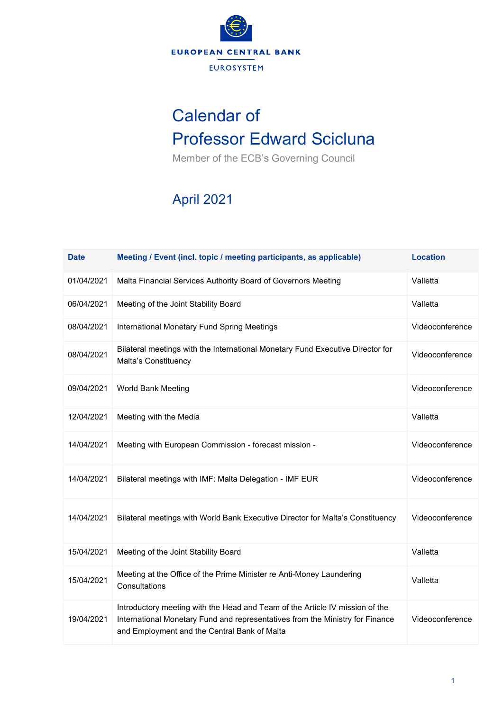

## Calendar of Professor Edward Scicluna

Member of the ECB's Governing Council

## April 2021

| <b>Date</b> | Meeting / Event (incl. topic / meeting participants, as applicable)                                                                                                                                           | <b>Location</b> |
|-------------|---------------------------------------------------------------------------------------------------------------------------------------------------------------------------------------------------------------|-----------------|
| 01/04/2021  | Malta Financial Services Authority Board of Governors Meeting                                                                                                                                                 | Valletta        |
| 06/04/2021  | Meeting of the Joint Stability Board                                                                                                                                                                          | Valletta        |
| 08/04/2021  | International Monetary Fund Spring Meetings                                                                                                                                                                   | Videoconference |
| 08/04/2021  | Bilateral meetings with the International Monetary Fund Executive Director for<br>Malta's Constituency                                                                                                        | Videoconference |
| 09/04/2021  | World Bank Meeting                                                                                                                                                                                            | Videoconference |
| 12/04/2021  | Meeting with the Media                                                                                                                                                                                        | Valletta        |
| 14/04/2021  | Meeting with European Commission - forecast mission -                                                                                                                                                         | Videoconference |
| 14/04/2021  | Bilateral meetings with IMF: Malta Delegation - IMF EUR                                                                                                                                                       | Videoconference |
| 14/04/2021  | Bilateral meetings with World Bank Executive Director for Malta's Constituency                                                                                                                                | Videoconference |
| 15/04/2021  | Meeting of the Joint Stability Board                                                                                                                                                                          | Valletta        |
| 15/04/2021  | Meeting at the Office of the Prime Minister re Anti-Money Laundering<br>Consultations                                                                                                                         | Valletta        |
| 19/04/2021  | Introductory meeting with the Head and Team of the Article IV mission of the<br>International Monetary Fund and representatives from the Ministry for Finance<br>and Employment and the Central Bank of Malta | Videoconference |